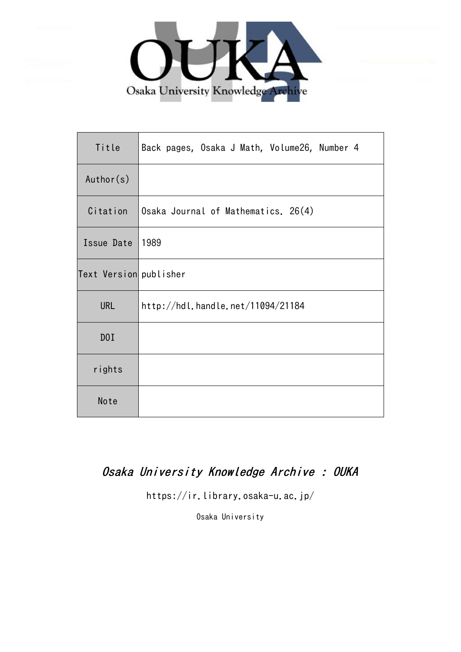

| Title                  | Back pages, Osaka J Math, Volume26, Number 4 |
|------------------------|----------------------------------------------|
| Author(s)              |                                              |
| Citation               | Osaka Journal of Mathematics. 26(4)          |
| Issue Date             | 1989                                         |
| Text Version publisher |                                              |
| <b>URL</b>             | http://hdl.handle.net/11094/21184            |
| D0I                    |                                              |
| rights                 |                                              |
| Note                   |                                              |

# Osaka University Knowledge Archive : OUKA

https://ir.library.osaka-u.ac.jp/

Osaka University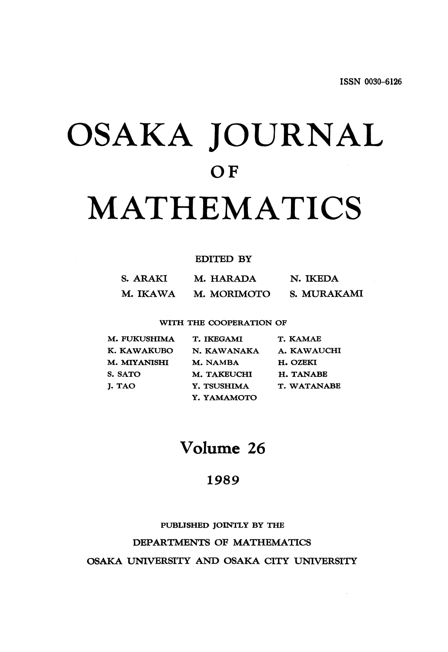# OSAKA JOURNAL OF MATHEMATICS

### EDITED BY

| S. ARAKI | M. HARADA   | N. IKEDA    |
|----------|-------------|-------------|
| M. IKAWA | M. MORIMOTO | S. MURAKAMI |

#### **WITH THE COOPERATION OF**

| <b>M. FUKUSHIMA</b> | T. IKEGAMI         | T. KAMAE           |
|---------------------|--------------------|--------------------|
| K. KAWAKUBO         | N. KAWANAKA        | A. KAWAUCHI        |
| M. MIYANISHI        | M. NAMBA           | H. OZEKI           |
| S. SATO             | <b>M. TAKEUCHI</b> | H. TANABE          |
| I. TAO              | Y. TSUSHIMA        | <b>T. WATANABE</b> |
|                     | Y. YAMAMOTO        |                    |

# Volume *26*

## 1989

**PUBLISHED JOINTLY BY THE**

#### DEPARTMENTS OF MATHEMATICS

OSAKA UNIVERSITY AND OSAKA CITY UNIVERSITY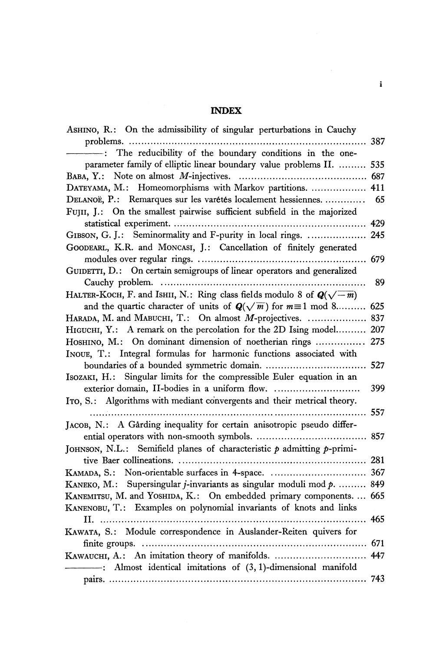## **INDEX**

| ASHINO, R.: On the admissibility of singular perturbations in Cauchy                                                       |     |
|----------------------------------------------------------------------------------------------------------------------------|-----|
| problems.                                                                                                                  | 387 |
| The reducibility of the boundary conditions in the one-<br>parameter family of elliptic linear boundary value problems II. | 535 |
|                                                                                                                            |     |
| DATEYAMA, M.: Homeomorphisms with Markov partitions.  411                                                                  |     |
| DELANOË, P.: Remarques sur les varétés localement hessiennes.                                                              | 65  |
| FUJII, J.: On the smallest pairwise sufficient subfield in the majorized                                                   |     |
|                                                                                                                            | 429 |
| GIBSON, G. J.: Seminormality and F-purity in local rings.  245                                                             |     |
| GOODEARL, K.R. and MONCASI, J.: Cancellation of finitely generated                                                         |     |
|                                                                                                                            | 679 |
| GUIDETTI, D.: On certain semigroups of linear operators and generalized                                                    |     |
|                                                                                                                            | 89  |
| HALTER-KOCH, F. and ISHII, N.: Ring class fields modulo 8 of $Q(\sqrt{-m})$                                                |     |
| and the quartic character of units of $Q(\sqrt{m})$ for $m \equiv 1 \mod 8$                                                | 625 |
| HARADA, M. and MABUCHI, T.: On almost M-projectives.                                                                       | 837 |
| HIGUCHI, Y.: A remark on the percolation for the 2D Ising model                                                            | 207 |
| HOSHINO, M.: On dominant dimension of noetherian rings                                                                     | 275 |
| INOUE, T.: Integral formulas for harmonic functions associated with                                                        |     |
|                                                                                                                            | 527 |
| ISOZAKI, H.: Singular limits for the compressible Euler equation in an<br>exterior domain, II-bodies in a uniform flow.    | 399 |
| ITO, S.: Algorithms with mediant convergents and their metrical theory.                                                    |     |
|                                                                                                                            | 557 |
| JACOB, N.: A Gårding inequality for certain anisotropic pseudo differ-                                                     |     |
| ential operators with non-smooth symbols.                                                                                  | 857 |
| JOHNSON, N.L.: Semifield planes of characteristic $p$ admitting $p$ -primi-                                                |     |
|                                                                                                                            | 281 |
|                                                                                                                            |     |
| KANEKO, M.: Supersingular <i>j</i> -invariants as singular moduli mod $p$ .                                                | 849 |
| KANEMITSU, M. and YOSHIDA, K.: On embedded primary components                                                              | 665 |
| KANENOBU, T.: Examples on polynomial invariants of knots and links                                                         |     |
| Н.                                                                                                                         | 465 |
| KAWATA, S.: Module correspondence in Auslander-Reiten quivers for                                                          |     |
|                                                                                                                            |     |
| KAWAUCHI, A.: An imitation theory of manifolds.  447                                                                       |     |
| Almost identical imitations of (3, 1)-dimensional manifold<br>$-$ :                                                        |     |
|                                                                                                                            |     |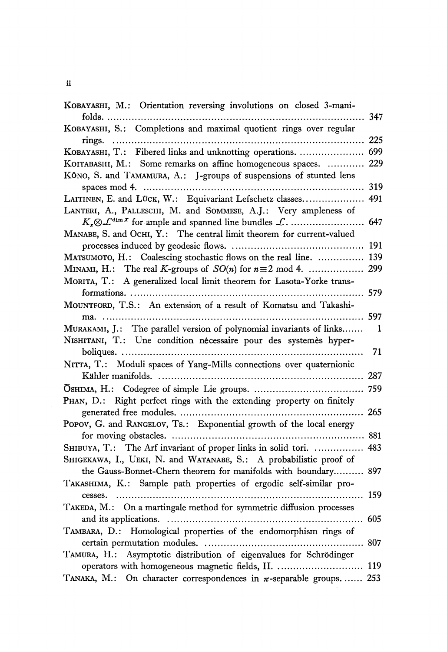| KOBAYASHI, M.: Orientation reversing involutions on closed 3-mani-                                                               |        |
|----------------------------------------------------------------------------------------------------------------------------------|--------|
| folds. $\dots$                                                                                                                   | 347    |
| KOBAYASHI, S.: Completions and maximal quotient rings over regular<br>rings.<br>.                                                | 225    |
|                                                                                                                                  | 699    |
| KOBAYASHI, T.: Fibered links and unknotting operations.                                                                          |        |
| KOITABASHI, M.: Some remarks on affine homogeneous spaces.<br>KÔNO, S. and TAMAMURA, A.: J-groups of suspensions of stunted lens | 229    |
| $\cdots$                                                                                                                         | 319    |
| LAITINEN, E. and LUCK, W.: Equivariant Lefschetz classes                                                                         | 491    |
| LANTERI, A., PALLESCHI, M. and SOMMESE, A.J.: Very ampleness of                                                                  | 647    |
| MANABE, S. and OCHI, Y.: The central limit theorem for current-valued                                                            |        |
|                                                                                                                                  | 191    |
| MATSUMOTO, H.: Coalescing stochastic flows on the real line.                                                                     | 139    |
| MINAMI, H.: The real K-groups of $SO(n)$ for $n \equiv 2 \mod 4$ .                                                               | 299    |
| MORITA, T.: A generalized local limit theorem for Lasota-Yorke trans-<br>.                                                       | 579    |
| MOUNTFORD, T.S.: An extension of a result of Komatsu and Takashi-                                                                |        |
| $ma.$                                                                                                                            | 597    |
| MURAKAMI, J.: The parallel version of polynomial invariants of links                                                             | 1      |
| NISHITANI, T.: Une condition nécessaire pour des systemès hyper-                                                                 |        |
| .                                                                                                                                | 71     |
| NITTA, T.: Moduli spaces of Yang-Mills connections over quaternionic                                                             |        |
|                                                                                                                                  |        |
|                                                                                                                                  |        |
| PHAN, D.: Right perfect rings with the extending property on finitely                                                            |        |
|                                                                                                                                  |        |
| Popov, G. and RANGELOV, Ts.: Exponential growth of the local energy                                                              |        |
| for moving obstacles.<br>881                                                                                                     |        |
| SHIBUYA, T.: The Arf invariant of proper links in solid tori.                                                                    | 483    |
| SHIGEKAWA, I., UEKI, N. and WATANABE, S.: A probabilistic proof of                                                               |        |
| the Gauss-Bonnet-Chern theorem for manifolds with boundary 897                                                                   |        |
| TAKASHIMA, K.: Sample path properties of ergodic self-similar pro-                                                               |        |
| cesses.                                                                                                                          |        |
| TAKEDA, M.: On a martingale method for symmetric diffusion processes                                                             |        |
| and its applications.                                                                                                            | …. 605 |
| TAMBARA, D.: Homological properties of the endomorphism rings of                                                                 |        |
| . 807                                                                                                                            |        |
| Asymptotic distribution of eigenvalues for Schrödinger<br>Tamura, H.:                                                            |        |
| operators with homogeneous magnetic fields, II.                                                                                  | 119    |
| On character correspondences in $\pi$ -separable groups.  253<br>Tanaka, M.:                                                     |        |
|                                                                                                                                  |        |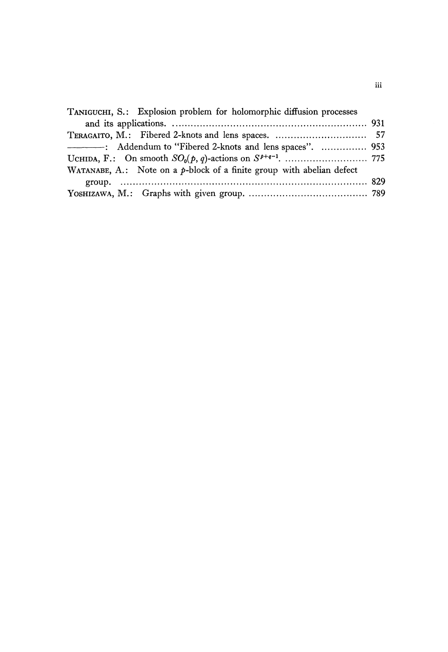| TANIGUCHI, S.: Explosion problem for holomorphic diffusion processes     |  |
|--------------------------------------------------------------------------|--|
|                                                                          |  |
|                                                                          |  |
|                                                                          |  |
|                                                                          |  |
| WATANABE, A.: Note on a $p$ -block of a finite group with abelian defect |  |
|                                                                          |  |
|                                                                          |  |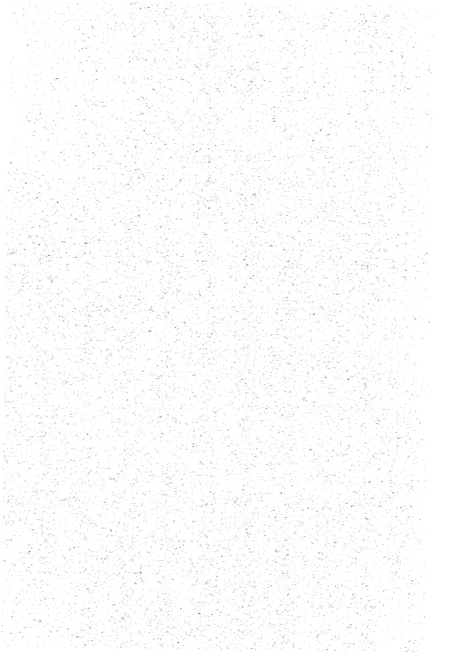